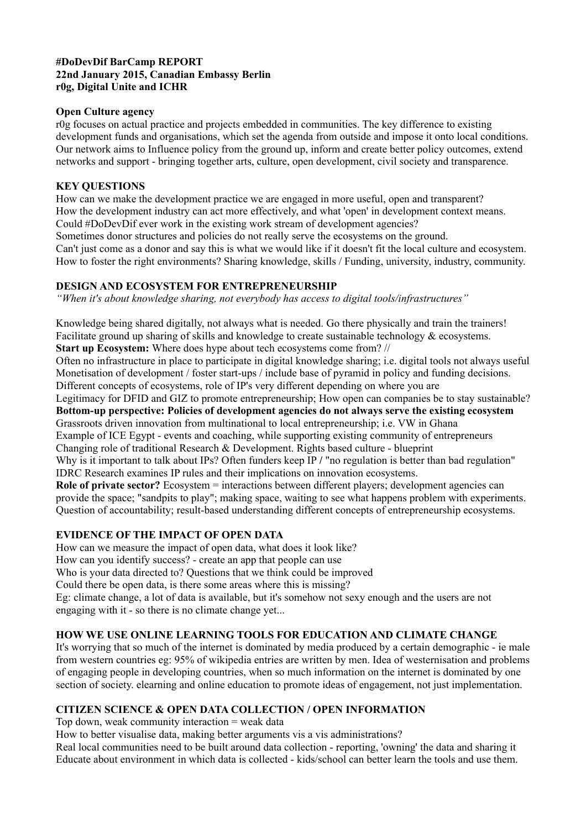#### **#DoDevDif BarCamp REPORT 22nd January 2015, Canadian Embassy Berlin r0g, Digital Unite and ICHR**

## **Open Culture agency**

r0g focuses on actual practice and projects embedded in communities. The key difference to existing development funds and organisations, which set the agenda from outside and impose it onto local conditions. Our network aims to Influence policy from the ground up, inform and create better policy outcomes, extend networks and support - bringing together arts, culture, open development, civil society and transparence.

#### **KEY QUESTIONS**

How can we make the development practice we are engaged in more useful, open and transparent? How the development industry can act more effectively, and what 'open' in development context means. Could #DoDevDif ever work in the existing work stream of development agencies?

Sometimes donor structures and policies do not really serve the ecosystems on the ground. Can't just come as a donor and say this is what we would like if it doesn't fit the local culture and ecosystem. How to foster the right environments? Sharing knowledge, skills / Funding, university, industry, community.

## **DESIGN AND ECOSYSTEM FOR ENTREPRENEURSHIP**

*"When it's about knowledge sharing, not everybody has access to digital tools/infrastructures"*

Knowledge being shared digitally, not always what is needed. Go there physically and train the trainers! Facilitate ground up sharing of skills and knowledge to create sustainable technology & ecosystems. **Start up Ecosystem:** Where does hype about tech ecosystems come from? //

Often no infrastructure in place to participate in digital knowledge sharing; i.e. digital tools not always useful Monetisation of development / foster start-ups / include base of pyramid in policy and funding decisions. Different concepts of ecosystems, role of IP's very different depending on where you are

Legitimacy for DFID and GIZ to promote entrepreneurship; How open can companies be to stay sustainable? **Bottom-up perspective: Policies of development agencies do not always serve the existing ecosystem** Grassroots driven innovation from multinational to local entrepreneurship; i.e. VW in Ghana Example of ICE Egypt - events and coaching, while supporting existing community of entrepreneurs Changing role of traditional Research & Development. Rights based culture - blueprint

Why is it important to talk about IPs? Often funders keep IP / "no regulation is better than bad regulation" IDRC Research examines IP rules and their implications on innovation ecosystems.

**Role of private sector?** Ecosystem = interactions between different players; development agencies can provide the space; "sandpits to play"; making space, waiting to see what happens problem with experiments. Question of accountability; result-based understanding different concepts of entrepreneurship ecosystems.

## **EVIDENCE OF THE IMPACT OF OPEN DATA**

How can we measure the impact of open data, what does it look like? How can you identify success? - create an app that people can use Who is your data directed to? Questions that we think could be improved Could there be open data, is there some areas where this is missing? Eg: climate change, a lot of data is available, but it's somehow not sexy enough and the users are not engaging with it - so there is no climate change yet...

## **HOW WE USE ONLINE LEARNING TOOLS FOR EDUCATION AND CLIMATE CHANGE**

It's worrying that so much of the internet is dominated by media produced by a certain demographic - ie male from western countries eg: 95% of wikipedia entries are written by men. Idea of westernisation and problems of engaging people in developing countries, when so much information on the internet is dominated by one section of society, elearning and online education to promote ideas of engagement, not just implementation.

## **CITIZEN SCIENCE & OPEN DATA COLLECTION / OPEN INFORMATION**

Top down, weak community interaction = weak data

How to better visualise data, making better arguments vis a vis administrations?

Real local communities need to be built around data collection - reporting, 'owning' the data and sharing it Educate about environment in which data is collected - kids/school can better learn the tools and use them.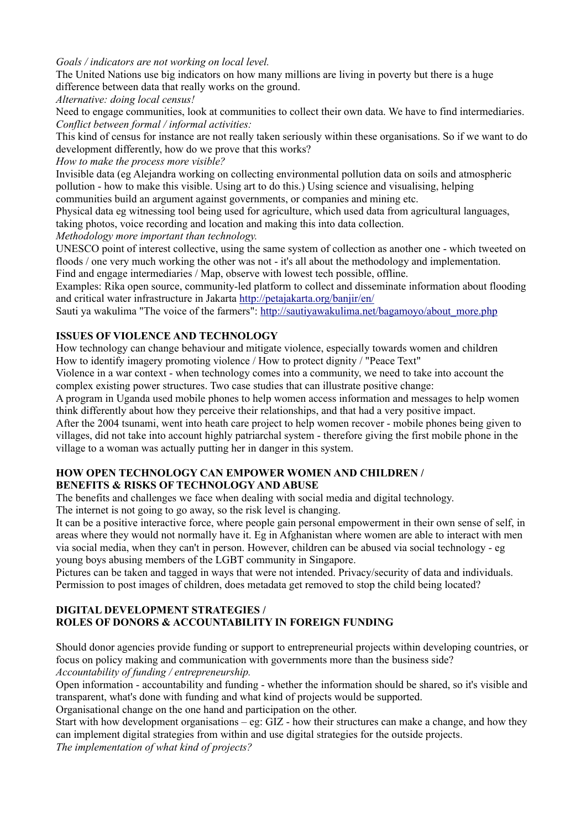#### *Goals / indicators are not working on local level.*

The United Nations use big indicators on how many millions are living in poverty but there is a huge difference between data that really works on the ground.

*Alternative: doing local census!*

Need to engage communities, look at communities to collect their own data. We have to find intermediaries. *Conflict between formal / informal activities:*

This kind of census for instance are not really taken seriously within these organisations. So if we want to do development differently, how do we prove that this works?

*How to make the process more visible?* 

Invisible data (eg Alejandra working on collecting environmental pollution data on soils and atmospheric pollution - how to make this visible. Using art to do this.) Using science and visualising, helping communities build an argument against governments, or companies and mining etc.

Physical data eg witnessing tool being used for agriculture, which used data from agricultural languages, taking photos, voice recording and location and making this into data collection.

*Methodology more important than technology.*

UNESCO point of interest collective, using the same system of collection as another one - which tweeted on floods / one very much working the other was not - it's all about the methodology and implementation. Find and engage intermediaries / Map, observe with lowest tech possible, offline.

Examples: Rika open source, community-led platform to collect and disseminate information about flooding and critical water infrastructure in Jakarta http://petajakarta.org/banjir/en/

Sauti ya wakulima "The voice of the farmers": http://sautiyawakulima.net/bagamoyo/about\_more.php

## **ISSUES OF VIOLENCE AND TECHNOLOGY**

How technology can change behaviour and mitigate violence, especially towards women and children How to identify imagery promoting violence / How to protect dignity / "Peace Text"

Violence in a war context - when technology comes into a community, we need to take into account the complex existing power structures. Two case studies that can illustrate positive change:

A program in Uganda used mobile phones to help women access information and messages to help women think differently about how they perceive their relationships, and that had a very positive impact.

After the 2004 tsunami, went into heath care project to help women recover - mobile phones being given to villages, did not take into account highly patriarchal system - therefore giving the first mobile phone in the village to a woman was actually putting her in danger in this system.

#### **HOW OPEN TECHNOLOGY CAN EMPOWER WOMEN AND CHILDREN / BENEFITS & RISKS OF TECHNOLOGY AND ABUSE**

The benefits and challenges we face when dealing with social media and digital technology.

The internet is not going to go away, so the risk level is changing.

It can be a positive interactive force, where people gain personal empowerment in their own sense of self, in areas where they would not normally have it. Eg in Afghanistan where women are able to interact with men via social media, when they can't in person. However, children can be abused via social technology - eg young boys abusing members of the LGBT community in Singapore.

Pictures can be taken and tagged in ways that were not intended. Privacy/security of data and individuals. Permission to post images of children, does metadata get removed to stop the child being located?

## **DIGITAL DEVELOPMENT STRATEGIES / ROLES OF DONORS & ACCOUNTABILITY IN FOREIGN FUNDING**

Should donor agencies provide funding or support to entrepreneurial projects within developing countries, or focus on policy making and communication with governments more than the business side? *Accountability of funding / entrepreneurship.* 

Open information - accountability and funding - whether the information should be shared, so it's visible and transparent, what's done with funding and what kind of projects would be supported.

Organisational change on the one hand and participation on the other.

Start with how development organisations – eg: GIZ - how their structures can make a change, and how they can implement digital strategies from within and use digital strategies for the outside projects.

*The implementation of what kind of projects?*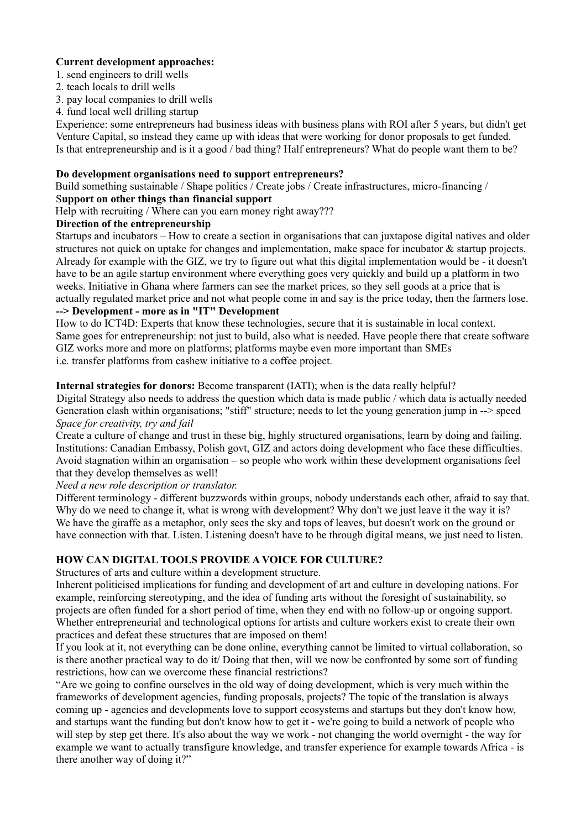### **Current development approaches:**

- 1. send engineers to drill wells
- 2. teach locals to drill wells
- 3. pay local companies to drill wells
- 4. fund local well drilling startup

Experience: some entrepreneurs had business ideas with business plans with ROI after 5 years, but didn't get Venture Capital, so instead they came up with ideas that were working for donor proposals to get funded. Is that entrepreneurship and is it a good / bad thing? Half entrepreneurs? What do people want them to be?

## **Do development organisations need to support entrepreneurs?**

Build something sustainable / Shape politics / Create jobs / Create infrastructures, micro-financing /

### S**upport on other things than financial support**

Help with recruiting / Where can you earn money right away???

## **Direction of the entrepreneurship**

Startups and incubators – How to create a section in organisations that can juxtapose digital natives and older structures not quick on uptake for changes and implementation, make space for incubator  $\&$  startup projects. Already for example with the GIZ, we try to figure out what this digital implementation would be - it doesn't have to be an agile startup environment where everything goes very quickly and build up a platform in two weeks. Initiative in Ghana where farmers can see the market prices, so they sell goods at a price that is actually regulated market price and not what people come in and say is the price today, then the farmers lose. **--> Development - more as in "IT" Development**

How to do ICT4D: Experts that know these technologies, secure that it is sustainable in local context. Same goes for entrepreneurship: not just to build, also what is needed. Have people there that create software GIZ works more and more on platforms; platforms maybe even more important than SMEs i.e. transfer platforms from cashew initiative to a coffee project.

## **Internal strategies for donors:** Become transparent (IATI); when is the data really helpful?

Digital Strategy also needs to address the question which data is made public / which data is actually needed Generation clash within organisations; "stiff" structure; needs to let the young generation jump in --> speed *Space for creativity, try and fail*

Create a culture of change and trust in these big, highly structured organisations, learn by doing and failing. Institutions: Canadian Embassy, Polish govt, GIZ and actors doing development who face these difficulties. Avoid stagnation within an organisation – so people who work within these development organisations feel that they develop themselves as well!

*Need a new role description or translator.* 

Different terminology - different buzzwords within groups, nobody understands each other, afraid to say that. Why do we need to change it, what is wrong with development? Why don't we just leave it the way it is? We have the giraffe as a metaphor, only sees the sky and tops of leaves, but doesn't work on the ground or have connection with that. Listen. Listening doesn't have to be through digital means, we just need to listen.

## **HOW CAN DIGITAL TOOLS PROVIDE A VOICE FOR CULTURE?**

Structures of arts and culture within a development structure.

Inherent politicised implications for funding and development of art and culture in developing nations. For example, reinforcing stereotyping, and the idea of funding arts without the foresight of sustainability, so projects are often funded for a short period of time, when they end with no follow-up or ongoing support. Whether entrepreneurial and technological options for artists and culture workers exist to create their own practices and defeat these structures that are imposed on them!

If you look at it, not everything can be done online, everything cannot be limited to virtual collaboration, so is there another practical way to do it/ Doing that then, will we now be confronted by some sort of funding restrictions, how can we overcome these financial restrictions?

"Are we going to confine ourselves in the old way of doing development, which is very much within the frameworks of development agencies, funding proposals, projects? The topic of the translation is always coming up - agencies and developments love to support ecosystems and startups but they don't know how, and startups want the funding but don't know how to get it - we're going to build a network of people who will step by step get there. It's also about the way we work - not changing the world overnight - the way for example we want to actually transfigure knowledge, and transfer experience for example towards Africa - is there another way of doing it?"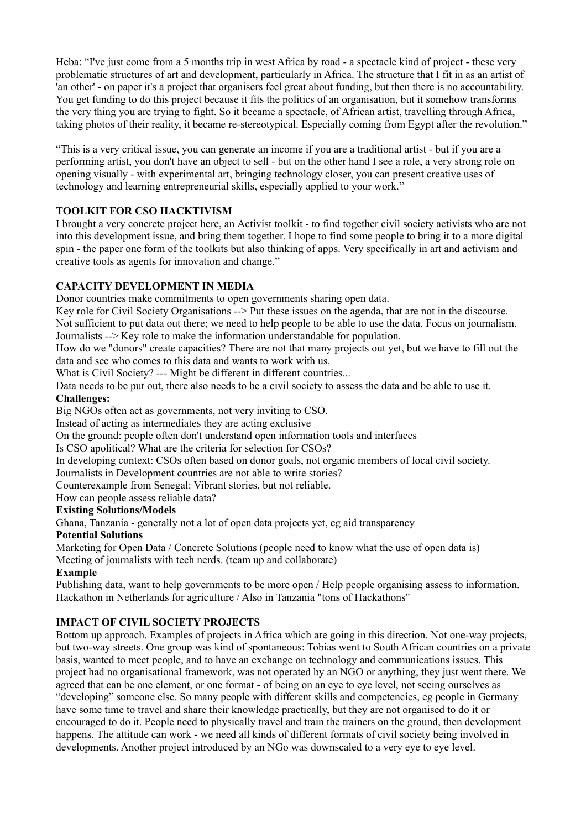Heba: "I've just come from a 5 months trip in west Africa by road - a spectacle kind of project - these very problematic structures of art and development, particularly in Africa. The structure that I fit in as an artist of 'an other' - on paper it's a project that organisers feel great about funding, but then there is no accountability. You get funding to do this project because it fits the politics of an organisation, but it somehow transforms the very thing you are trying to fight. So it became a spectacle, of African artist, travelling through Africa, taking photos of their reality, it became re-stereotypical. Especially coming from Egypt after the revolution."

"This is a very critical issue, you can generate an income if you are a traditional artist - but if you are a performing artist, you don't have an object to sell - but on the other hand I see a role, a very strong role on opening visually - with experimental art, bringing technology closer, you can present creative uses of technology and learning entrepreneurial skills, especially applied to your work."

## **TOOLKIT FOR CSO HACKTIVISM**

I brought a very concrete project here, an Activist toolkit - to find together civil society activists who are not into this development issue, and bring them together. I hope to find some people to bring it to a more digital spin - the paper one form of the toolkits but also thinking of apps. Very specifically in art and activism and creative tools as agents for innovation and change."

## **CAPACITY DEVELOPMENT IN MEDIA**

Donor countries make commitments to open governments sharing open data.

Key role for Civil Society Organisations --> Put these issues on the agenda, that are not in the discourse. Not sufficient to put data out there; we need to help people to be able to use the data. Focus on journalism.

Journalists --> Key role to make the information understandable for population.

How do we "donors" create capacities? There are not that many projects out yet, but we have to fill out the data and see who comes to this data and wants to work with us.

What is Civil Society? --- Might be different in different countries...

Data needs to be put out, there also needs to be a civil society to assess the data and be able to use it. **Challenges:**

Big NGOs often act as governments, not very inviting to CSO.

Instead of acting as intermediates they are acting exclusive

On the ground: people often don't understand open information tools and interfaces

Is CSO apolitical? What are the criteria for selection for CSOs?

In developing context: CSOs often based on donor goals, not organic members of local civil society.

Journalists in Development countries are not able to write stories?

Counterexample from Senegal: Vibrant stories, but not reliable.

How can people assess reliable data?

## **Existing Solutions/Models**

Ghana, Tanzania - generally not a lot of open data projects yet, eg aid transparency

## **Potential Solutions**

Marketing for Open Data / Concrete Solutions (people need to know what the use of open data is) Meeting of journalists with tech nerds. (team up and collaborate)

## **Example**

Publishing data, want to help governments to be more open / Help people organising assess to information. Hackathon in Netherlands for agriculture / Also in Tanzania "tons of Hackathons"

# **IMPACT OF CIVIL SOCIETY PROJECTS**

Bottom up approach. Examples of projects in Africa which are going in this direction. Not one-way projects, but two-way streets. One group was kind of spontaneous: Tobias went to South African countries on a private basis, wanted to meet people, and to have an exchange on technology and communications issues. This project had no organisational framework, was not operated by an NGO or anything, they just went there. We agreed that can be one element, or one format - of being on an eye to eye level, not seeing ourselves as "developing" someone else. So many people with different skills and competencies, eg people in Germany have some time to travel and share their knowledge practically, but they are not organised to do it or encouraged to do it. People need to physically travel and train the trainers on the ground, then development happens. The attitude can work - we need all kinds of different formats of civil society being involved in developments. Another project introduced by an NGo was downscaled to a very eye to eye level.